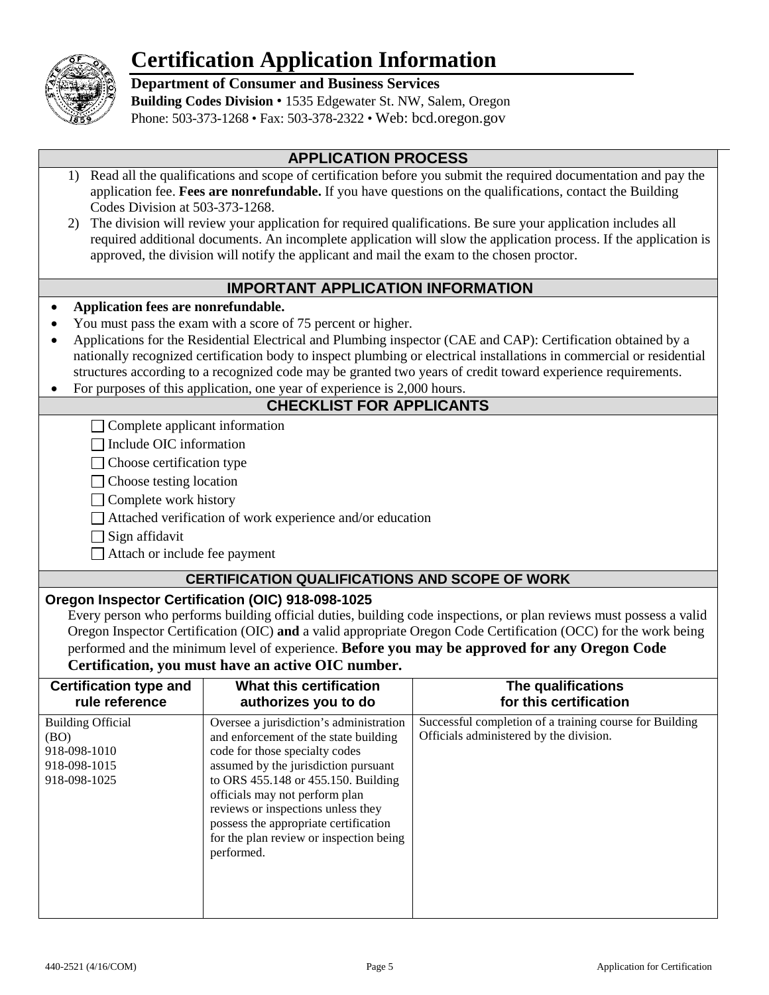

# **Certification Application Information**

**Department of Consumer and Business Services**

**Building Codes Division** • 1535 Edgewater St. NW, Salem, Oregon Phone: 503-373-1268 • Fax: 503-378-2322 • Web: bcd.oregon.gov

## **APPLICATION PROCESS**

- 1) Read all the qualifications and scope of certification before you submit the required documentation and pay the application fee. **Fees are nonrefundable.** If you have questions on the qualifications, contact the Building Codes Division at 503-373-1268.
- 2) The division will review your application for required qualifications. Be sure your application includes all required additional documents. An incomplete application will slow the application process. If the application is approved, the division will notify the applicant and mail the exam to the chosen proctor.

### **IMPORTANT APPLICATION INFORMATION**

#### • **Application fees are nonrefundable.**

- You must pass the exam with a score of 75 percent or higher.
- Applications for the Residential Electrical and Plumbing inspector (CAE and CAP): Certification obtained by a nationally recognized certification body to inspect plumbing or electrical installations in commercial or residential structures according to a recognized code may be granted two years of credit toward experience requirements.
- For purposes of this application, one year of experience is 2,000 hours.

### **CHECKLIST FOR APPLICANTS**

 $\Box$  Complete applicant information

 $\Box$  Include OIC information

 $\Box$  Choose certification type

□ Choose testing location

 $\Box$  Complete work history

Attached verification of work experience and/or education

 $\Box$  Sign affidavit

 $\Box$  Attach or include fee payment

### **CERTIFICATION QUALIFICATIONS AND SCOPE OF WORK**

#### **Oregon Inspector Certification (OIC) 918-098-1025**

Every person who performs building official duties, building code inspections, or plan reviews must possess a valid Oregon Inspector Certification (OIC) **and** a valid appropriate Oregon Code Certification (OCC) for the work being performed and the minimum level of experience. **Before you may be approved for any Oregon Code** 

## **Certification, you must have an active OIC number.**

| <b>Certification type and</b>                                                    | What this certification                                                                                                                                                                                                                                                                                                                                                     | The qualifications                                                                                 |
|----------------------------------------------------------------------------------|-----------------------------------------------------------------------------------------------------------------------------------------------------------------------------------------------------------------------------------------------------------------------------------------------------------------------------------------------------------------------------|----------------------------------------------------------------------------------------------------|
| rule reference                                                                   | authorizes you to do                                                                                                                                                                                                                                                                                                                                                        | for this certification                                                                             |
| <b>Building Official</b><br>(BO)<br>918-098-1010<br>918-098-1015<br>918-098-1025 | Oversee a jurisdiction's administration<br>and enforcement of the state building<br>code for those specialty codes<br>assumed by the jurisdiction pursuant<br>to ORS 455.148 or 455.150. Building<br>officials may not perform plan<br>reviews or inspections unless they<br>possess the appropriate certification<br>for the plan review or inspection being<br>performed. | Successful completion of a training course for Building<br>Officials administered by the division. |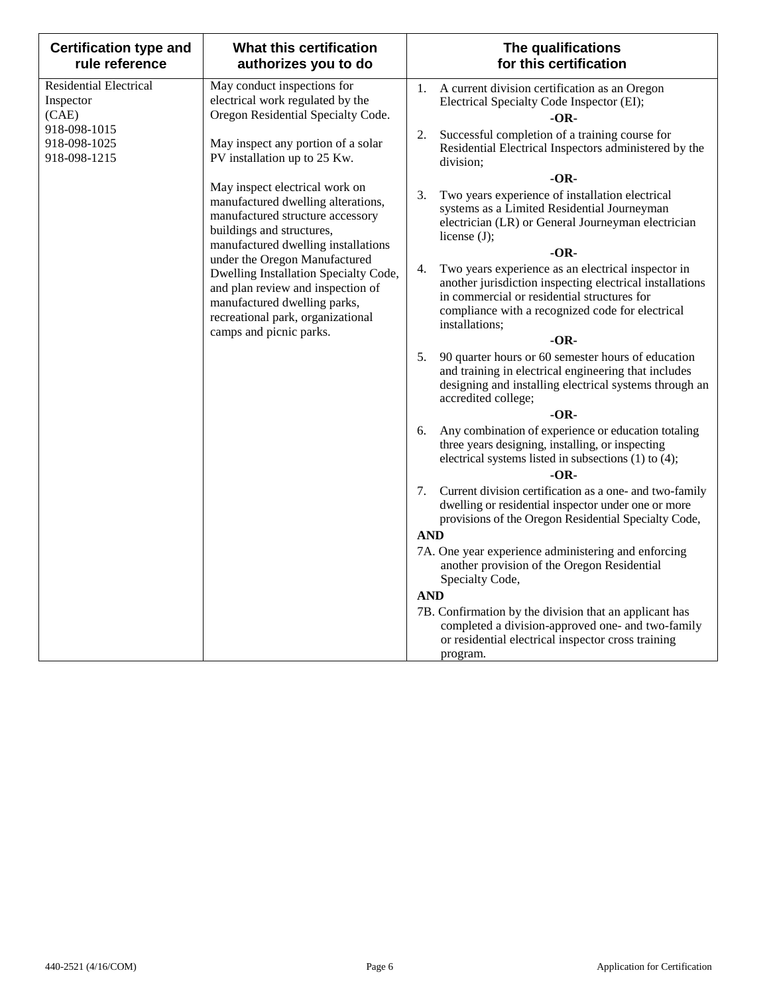| <b>Certification type and</b><br>rule reference     | What this certification<br>authorizes you to do                                                                                                 | The qualifications<br>for this certification                                                                                                                                                                                              |
|-----------------------------------------------------|-------------------------------------------------------------------------------------------------------------------------------------------------|-------------------------------------------------------------------------------------------------------------------------------------------------------------------------------------------------------------------------------------------|
| <b>Residential Electrical</b><br>Inspector<br>(CAE) | May conduct inspections for<br>electrical work regulated by the<br>Oregon Residential Specialty Code.                                           | 1.<br>A current division certification as an Oregon<br>Electrical Specialty Code Inspector (EI);<br>-OR-                                                                                                                                  |
| 918-098-1015<br>918-098-1025<br>918-098-1215        | May inspect any portion of a solar<br>PV installation up to 25 Kw.                                                                              | Successful completion of a training course for<br>2.<br>Residential Electrical Inspectors administered by the<br>division;                                                                                                                |
|                                                     |                                                                                                                                                 | $-OR-$                                                                                                                                                                                                                                    |
|                                                     | May inspect electrical work on<br>manufactured dwelling alterations,<br>manufactured structure accessory<br>buildings and structures,           | Two years experience of installation electrical<br>3.<br>systems as a Limited Residential Journeyman<br>electrician (LR) or General Journeyman electrician<br>license $(J)$ ;                                                             |
|                                                     | manufactured dwelling installations<br>under the Oregon Manufactured                                                                            | $-OR-$                                                                                                                                                                                                                                    |
|                                                     | Dwelling Installation Specialty Code,<br>and plan review and inspection of<br>manufactured dwelling parks,<br>recreational park, organizational | Two years experience as an electrical inspector in<br>4.<br>another jurisdiction inspecting electrical installations<br>in commercial or residential structures for<br>compliance with a recognized code for electrical<br>installations; |
|                                                     | camps and picnic parks.                                                                                                                         | $-OR-$                                                                                                                                                                                                                                    |
|                                                     |                                                                                                                                                 | 90 quarter hours or 60 semester hours of education<br>5.<br>and training in electrical engineering that includes<br>designing and installing electrical systems through an<br>accredited college;                                         |
|                                                     |                                                                                                                                                 | $-OR-$                                                                                                                                                                                                                                    |
|                                                     |                                                                                                                                                 | Any combination of experience or education totaling<br>6.<br>three years designing, installing, or inspecting<br>electrical systems listed in subsections (1) to (4);                                                                     |
|                                                     |                                                                                                                                                 | $-OR-$                                                                                                                                                                                                                                    |
|                                                     |                                                                                                                                                 | Current division certification as a one- and two-family<br>7.<br>dwelling or residential inspector under one or more<br>provisions of the Oregon Residential Specialty Code,                                                              |
|                                                     |                                                                                                                                                 | <b>AND</b>                                                                                                                                                                                                                                |
|                                                     |                                                                                                                                                 | 7A. One year experience administering and enforcing<br>another provision of the Oregon Residential<br>Specialty Code,                                                                                                                     |
|                                                     |                                                                                                                                                 | <b>AND</b>                                                                                                                                                                                                                                |
|                                                     |                                                                                                                                                 | 7B. Confirmation by the division that an applicant has<br>completed a division-approved one- and two-family<br>or residential electrical inspector cross training<br>program.                                                             |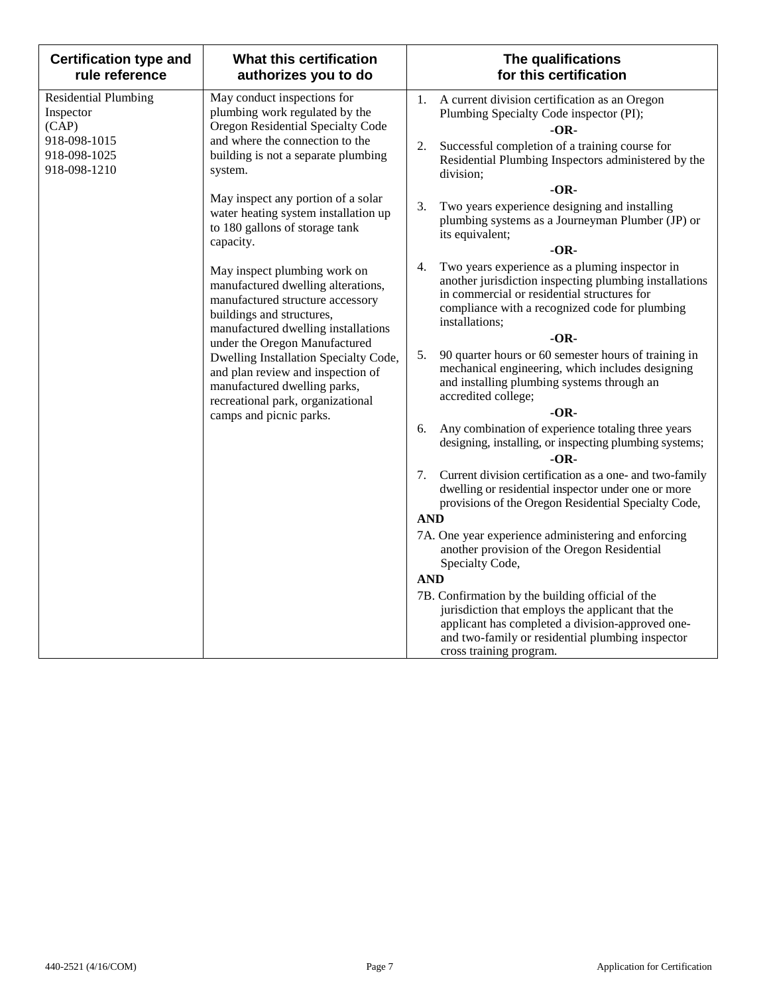| <b>Certification type and</b><br>rule reference                                                   | What this certification<br>authorizes you to do                                                                                                                                                                                                                                                                                                                                           | The qualifications<br>for this certification                                                                                                                                                                                                                                                                                                                                                                                                 |
|---------------------------------------------------------------------------------------------------|-------------------------------------------------------------------------------------------------------------------------------------------------------------------------------------------------------------------------------------------------------------------------------------------------------------------------------------------------------------------------------------------|----------------------------------------------------------------------------------------------------------------------------------------------------------------------------------------------------------------------------------------------------------------------------------------------------------------------------------------------------------------------------------------------------------------------------------------------|
| <b>Residential Plumbing</b><br>Inspector<br>(CAP)<br>918-098-1015<br>918-098-1025<br>918-098-1210 | May conduct inspections for<br>plumbing work regulated by the<br>Oregon Residential Specialty Code<br>and where the connection to the<br>building is not a separate plumbing<br>system.                                                                                                                                                                                                   | A current division certification as an Oregon<br>1.<br>Plumbing Specialty Code inspector (PI);<br>$-OR-$<br>Successful completion of a training course for<br>2.<br>Residential Plumbing Inspectors administered by the<br>division;                                                                                                                                                                                                         |
|                                                                                                   | May inspect any portion of a solar<br>water heating system installation up<br>to 180 gallons of storage tank<br>capacity.                                                                                                                                                                                                                                                                 | $-OR-$<br>Two years experience designing and installing<br>3.<br>plumbing systems as a Journeyman Plumber (JP) or<br>its equivalent;<br>$-OR-$                                                                                                                                                                                                                                                                                               |
|                                                                                                   | May inspect plumbing work on<br>manufactured dwelling alterations,<br>manufactured structure accessory<br>buildings and structures,<br>manufactured dwelling installations<br>under the Oregon Manufactured<br>Dwelling Installation Specialty Code,<br>and plan review and inspection of<br>manufactured dwelling parks,<br>recreational park, organizational<br>camps and picnic parks. | Two years experience as a pluming inspector in<br>4.<br>another jurisdiction inspecting plumbing installations<br>in commercial or residential structures for<br>compliance with a recognized code for plumbing<br>installations;<br>$-OR-$<br>5.<br>90 quarter hours or 60 semester hours of training in<br>mechanical engineering, which includes designing<br>and installing plumbing systems through an<br>accredited college;<br>$-OR-$ |
|                                                                                                   |                                                                                                                                                                                                                                                                                                                                                                                           | Any combination of experience totaling three years<br>6.<br>designing, installing, or inspecting plumbing systems;<br>$-OR-$                                                                                                                                                                                                                                                                                                                 |
|                                                                                                   |                                                                                                                                                                                                                                                                                                                                                                                           | Current division certification as a one- and two-family<br>7.<br>dwelling or residential inspector under one or more<br>provisions of the Oregon Residential Specialty Code,                                                                                                                                                                                                                                                                 |
|                                                                                                   |                                                                                                                                                                                                                                                                                                                                                                                           | <b>AND</b><br>7A. One year experience administering and enforcing<br>another provision of the Oregon Residential<br>Specialty Code,                                                                                                                                                                                                                                                                                                          |
|                                                                                                   |                                                                                                                                                                                                                                                                                                                                                                                           | <b>AND</b><br>7B. Confirmation by the building official of the<br>jurisdiction that employs the applicant that the<br>applicant has completed a division-approved one-<br>and two-family or residential plumbing inspector<br>cross training program.                                                                                                                                                                                        |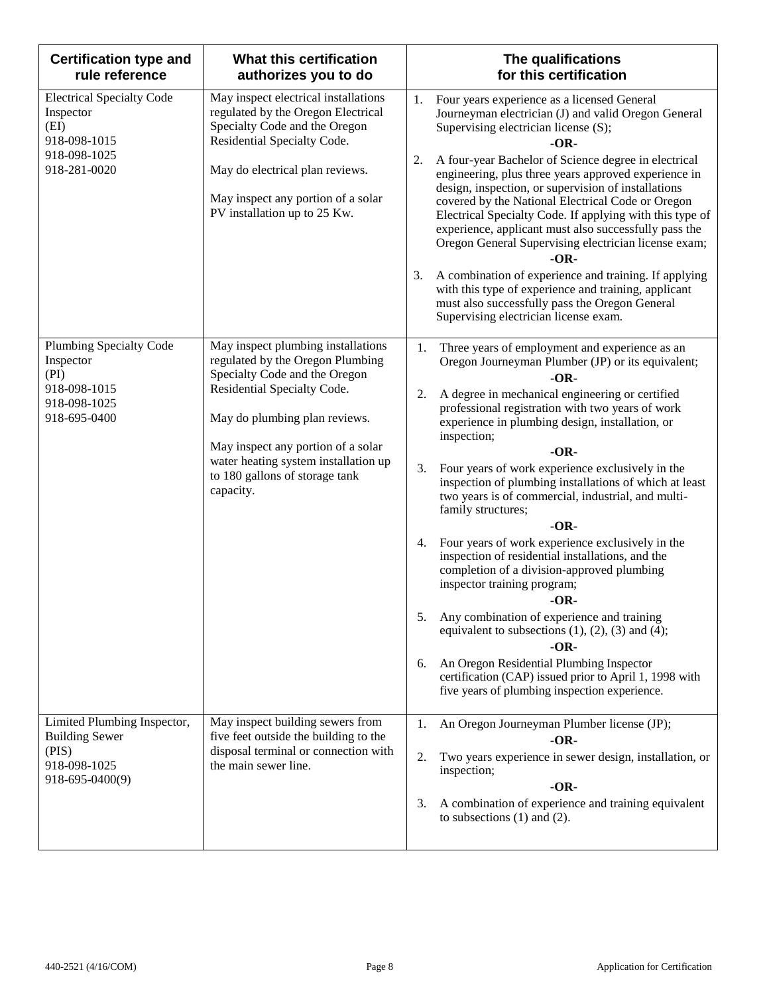| <b>Certification type and</b><br>rule reference                                                       | What this certification<br>authorizes you to do                                                                                                                                                                                                                                                      | The qualifications<br>for this certification                                                                                                                                                                                                                                                                                                                                                                                                                                                                                                                                                                                                                                                                                                                                                                                                                                                                                                                                                                          |
|-------------------------------------------------------------------------------------------------------|------------------------------------------------------------------------------------------------------------------------------------------------------------------------------------------------------------------------------------------------------------------------------------------------------|-----------------------------------------------------------------------------------------------------------------------------------------------------------------------------------------------------------------------------------------------------------------------------------------------------------------------------------------------------------------------------------------------------------------------------------------------------------------------------------------------------------------------------------------------------------------------------------------------------------------------------------------------------------------------------------------------------------------------------------------------------------------------------------------------------------------------------------------------------------------------------------------------------------------------------------------------------------------------------------------------------------------------|
| <b>Electrical Specialty Code</b><br>Inspector<br>(EI)<br>918-098-1015<br>918-098-1025<br>918-281-0020 | May inspect electrical installations<br>regulated by the Oregon Electrical<br>Specialty Code and the Oregon<br>Residential Specialty Code.<br>May do electrical plan reviews.<br>May inspect any portion of a solar<br>PV installation up to 25 Kw.                                                  | 1.<br>Four years experience as a licensed General<br>Journeyman electrician (J) and valid Oregon General<br>Supervising electrician license (S);<br>-OR-<br>A four-year Bachelor of Science degree in electrical<br>2.<br>engineering, plus three years approved experience in<br>design, inspection, or supervision of installations<br>covered by the National Electrical Code or Oregon<br>Electrical Specialty Code. If applying with this type of<br>experience, applicant must also successfully pass the<br>Oregon General Supervising electrician license exam;<br>$-OR-$<br>A combination of experience and training. If applying<br>3.<br>with this type of experience and training, applicant<br>must also successfully pass the Oregon General<br>Supervising electrician license exam.                                                                                                                                                                                                                   |
| <b>Plumbing Specialty Code</b><br>Inspector<br>(PI)<br>918-098-1015<br>918-098-1025<br>918-695-0400   | May inspect plumbing installations<br>regulated by the Oregon Plumbing<br>Specialty Code and the Oregon<br>Residential Specialty Code.<br>May do plumbing plan reviews.<br>May inspect any portion of a solar<br>water heating system installation up<br>to 180 gallons of storage tank<br>capacity. | Three years of employment and experience as an<br>1.<br>Oregon Journeyman Plumber (JP) or its equivalent;<br>$-OR-$<br>A degree in mechanical engineering or certified<br>2.<br>professional registration with two years of work<br>experience in plumbing design, installation, or<br>inspection;<br>$-OR-$<br>Four years of work experience exclusively in the<br>3.<br>inspection of plumbing installations of which at least<br>two years is of commercial, industrial, and multi-<br>family structures;<br>$-OR-$<br>Four years of work experience exclusively in the<br>4.<br>inspection of residential installations, and the<br>completion of a division-approved plumbing<br>inspector training program;<br>$-OR-$<br>Any combination of experience and training<br>5.<br>equivalent to subsections $(1)$ , $(2)$ , $(3)$ and $(4)$ ;<br>$-OR-$<br>An Oregon Residential Plumbing Inspector<br>6.<br>certification (CAP) issued prior to April 1, 1998 with<br>five years of plumbing inspection experience. |
| Limited Plumbing Inspector,<br><b>Building Sewer</b><br>(PIS)<br>918-098-1025<br>918-695-0400(9)      | May inspect building sewers from<br>five feet outside the building to the<br>disposal terminal or connection with<br>the main sewer line.                                                                                                                                                            | 1.<br>An Oregon Journeyman Plumber license (JP);<br>$-OR-$<br>2.<br>Two years experience in sewer design, installation, or<br>inspection;<br>$-OR-$<br>A combination of experience and training equivalent<br>3.<br>to subsections $(1)$ and $(2)$ .                                                                                                                                                                                                                                                                                                                                                                                                                                                                                                                                                                                                                                                                                                                                                                  |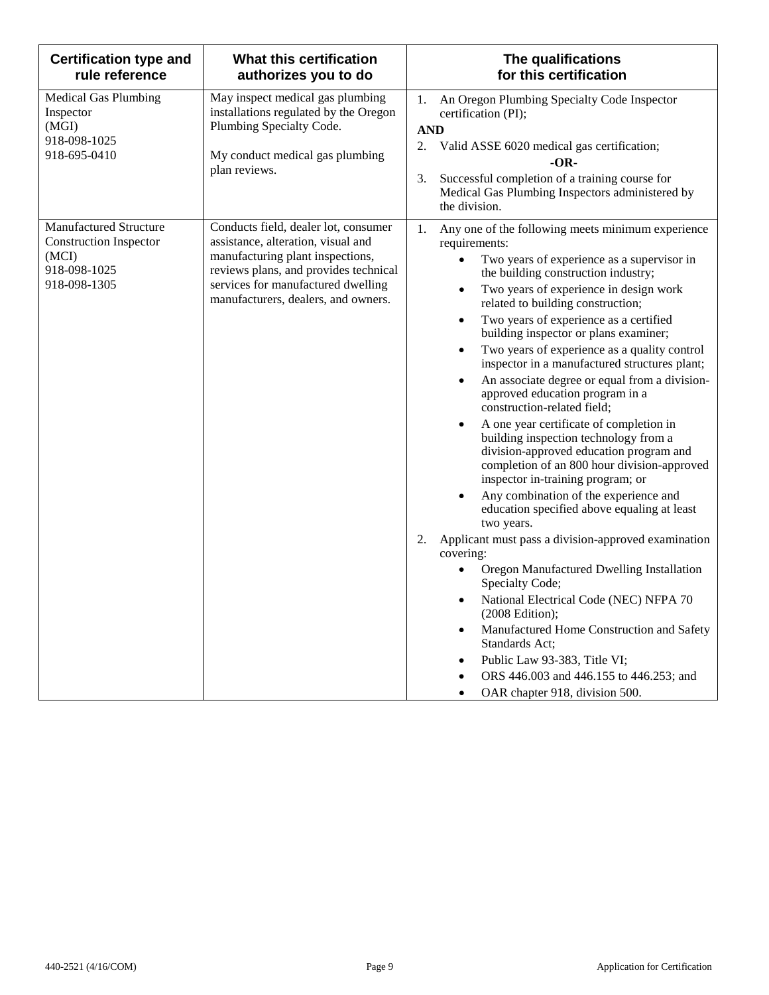| <b>Certification type and</b><br>rule reference                                                         | <b>What this certification</b><br>authorizes you to do                                                                                                                                                                               | The qualifications<br>for this certification                                                                                                                                                                                                                                                                                                                                                                                                                                                                                                                                                                                                                                                                                                                                                                                                                                                                                                                                                                                                                                                                                                                                                                                                                                                                                                                                                                                  |
|---------------------------------------------------------------------------------------------------------|--------------------------------------------------------------------------------------------------------------------------------------------------------------------------------------------------------------------------------------|-------------------------------------------------------------------------------------------------------------------------------------------------------------------------------------------------------------------------------------------------------------------------------------------------------------------------------------------------------------------------------------------------------------------------------------------------------------------------------------------------------------------------------------------------------------------------------------------------------------------------------------------------------------------------------------------------------------------------------------------------------------------------------------------------------------------------------------------------------------------------------------------------------------------------------------------------------------------------------------------------------------------------------------------------------------------------------------------------------------------------------------------------------------------------------------------------------------------------------------------------------------------------------------------------------------------------------------------------------------------------------------------------------------------------------|
| <b>Medical Gas Plumbing</b><br>Inspector<br>(MGI)<br>918-098-1025<br>918-695-0410                       | May inspect medical gas plumbing<br>installations regulated by the Oregon<br>Plumbing Specialty Code.<br>My conduct medical gas plumbing<br>plan reviews.                                                                            | An Oregon Plumbing Specialty Code Inspector<br>1.<br>certification (PI);<br><b>AND</b><br>2.<br>Valid ASSE 6020 medical gas certification;<br>$-OR-$<br>Successful completion of a training course for<br>3.<br>Medical Gas Plumbing Inspectors administered by<br>the division.                                                                                                                                                                                                                                                                                                                                                                                                                                                                                                                                                                                                                                                                                                                                                                                                                                                                                                                                                                                                                                                                                                                                              |
| <b>Manufactured Structure</b><br><b>Construction Inspector</b><br>(MCI)<br>918-098-1025<br>918-098-1305 | Conducts field, dealer lot, consumer<br>assistance, alteration, visual and<br>manufacturing plant inspections,<br>reviews plans, and provides technical<br>services for manufactured dwelling<br>manufacturers, dealers, and owners. | 1.<br>Any one of the following meets minimum experience<br>requirements:<br>Two years of experience as a supervisor in<br>$\bullet$<br>the building construction industry;<br>Two years of experience in design work<br>$\bullet$<br>related to building construction;<br>Two years of experience as a certified<br>$\bullet$<br>building inspector or plans examiner;<br>Two years of experience as a quality control<br>$\bullet$<br>inspector in a manufactured structures plant;<br>An associate degree or equal from a division-<br>$\bullet$<br>approved education program in a<br>construction-related field;<br>A one year certificate of completion in<br>$\bullet$<br>building inspection technology from a<br>division-approved education program and<br>completion of an 800 hour division-approved<br>inspector in-training program; or<br>Any combination of the experience and<br>$\bullet$<br>education specified above equaling at least<br>two years.<br>Applicant must pass a division-approved examination<br>2.<br>covering:<br>Oregon Manufactured Dwelling Installation<br>$\bullet$<br>Specialty Code;<br>National Electrical Code (NEC) NFPA 70<br>$\bullet$<br>$(2008$ Edition);<br>Manufactured Home Construction and Safety<br>$\bullet$<br>Standards Act;<br>Public Law 93-383, Title VI;<br>$\bullet$<br>ORS 446.003 and 446.155 to 446.253; and<br>OAR chapter 918, division 500.<br>$\bullet$ |